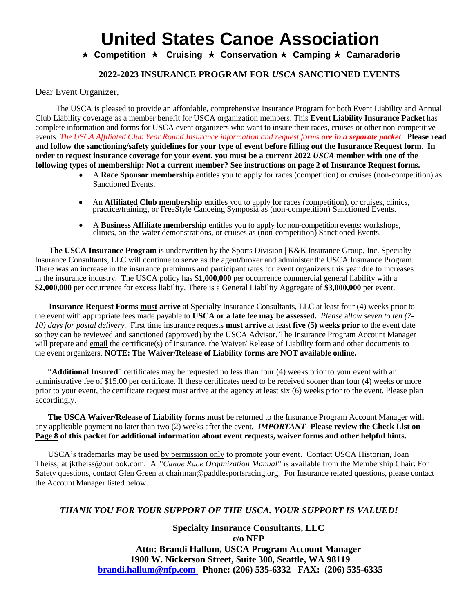**★ Competition ★ Cruising ★ Conservation ★ Camping ★ Camaraderie** 

## **2022-2023 INSURANCE PROGRAM FOR** *USCA* **SANCTIONED EVENTS**

Dear Event Organizer,

The USCA is pleased to provide an affordable, comprehensive Insurance Program for both Event Liability and Annual Club Liability coverage as a member benefit for USCA organization members. This **Event Liability Insurance Packet** has complete information and forms for USCA event organizers who want to insure their races, cruises or other non-competitive events. *The USCA Affiliated Club Year Round Insurance information and request forms are in a separate packet.* **Please read and follow the sanctioning/safety guidelines for your type of event before filling out the Insurance Request form. In order to request insurance coverage for your event, you must be a current 2022** *USCA* **member with one of the following types of membership: Not a current member? See instructions on page 2 of Insurance Request forms.** 

- A **Race Sponsor membership** entitles you to apply for races (competition) or cruises (non-competition) as Sanctioned Events.
- An **Affiliated Club membership** entitles you to apply for races (competition), or cruises, clinics, practice/training, or FreeStyle Canoeing Symposia as (non-competition) Sanctioned Events.
- A **Business Affiliate membership** entitles you to apply for non-competition events: workshops, clinics, on-the-water demonstrations, or cruises as (non-competition) Sanctioned Events.

**The USCA Insurance Program** is underwritten by the Sports Division | K&K Insurance Group, Inc. Specialty Insurance Consultants, LLC will continue to serve as the agent/broker and administer the USCA Insurance Program. There was an increase in the insurance premiums and participant rates for event organizers this year due to increases in the insurance industry. The USCA policy has \$**1,000,000** per occurrence commercial general liability with a **\$2,000,000** per occurrence for excess liability. There is a General Liability Aggregate of **\$3,000,000** per event.

**Insurance Request Forms must arrive** at Specialty Insurance Consultants, LLC at least four (4) weeks prior to the event with appropriate fees made payable to **USCA or a late fee may be assessed.** *Please* a*llow seven to ten (7- 10) days for postal delivery.* First time insurance requests **must arrive** at least **five (5) weeks prior** to the event date so they can be reviewed and sanctioned (approved) by the USCA Advisor. The Insurance Program Account Manager will prepare and email the certificate(s) of insurance, the Waiver/ Release of Liability form and other documents to the event organizers. **NOTE: The Waiver/Release of Liability forms are NOT available online.**

"**Additional Insured**" certificates may be requested no less than four (4) weeks prior to your event with an administrative fee of \$15.00 per certificate. If these certificates need to be received sooner than four (4) weeks or more prior to your event, the certificate request must arrive at the agency at least six (6) weeks prior to the event. Please plan accordingly.

**The USCA Waiver/Release of Liability forms must** be returned to the Insurance Program Account Manager with any applicable payment no later than two (2) weeks after the event*. IMPORTANT*- **Please review the Check List on Page 8 of this packet for additional information about event requests, waiver forms and other helpful hints.**

USCA's trademarks may be used by permission only to promote your event. Contact USCA Historian, Joan Theiss, at jktheiss@outlook.com. A *"Canoe Race Organization Manual*" is available from the Membership Chair. For Safety questions, contact Glen Green at chairman@paddlesportsracing.org. For Insurance related questions, please contact the Account Manager listed below.

## *THANK YOU FOR YOUR SUPPORT OF THE USCA. YOUR SUPPORT IS VALUED!*

**Specialty Insurance Consultants, LLC c/o NFP Attn: Brandi Hallum, USCA Program Account Manager 1900 W. Nickerson Street, Suite 300, Seattle, WA 98119 brandi.hallum@nfp.com Phone: (206) 535-6332 FAX: (206) 535-6335**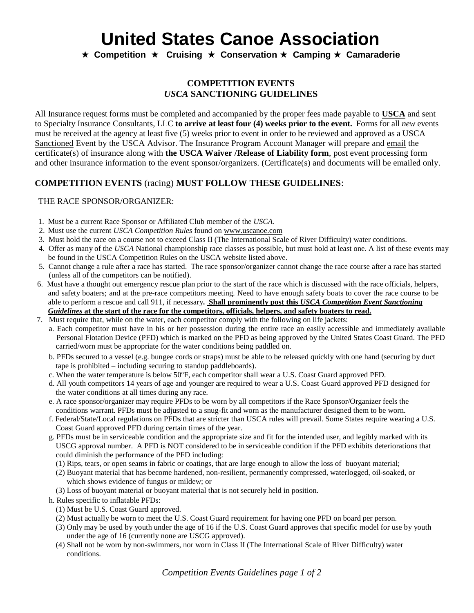**★ Competition ★ Cruising ★ Conservation ★ Camping ★ Camaraderie** 

### **COMPETITION EVENTS** *USCA* **SANCTIONING GUIDELINES**

All Insurance request forms must be completed and accompanied by the proper fees made payable to **USCA** and sent to Specialty Insurance Consultants, LLC **to arrive at least four (4) weeks prior to the event.** Forms for all *new* events must be received at the agency at least five (5) weeks prior to event in order to be reviewed and approved as a USCA Sanctioned Event by the USCA Advisor. The Insurance Program Account Manager will prepare and email the certificate(s) of insurance along with **the USCA Waiver /Release of Liability form**, post event processing form and other insurance information to the event sponsor/organizers. (Certificate(s) and documents will be emailed only.

## **COMPETITION EVENTS** (racing) **MUST FOLLOW THESE GUIDELINES**:

### THE RACE SPONSOR/ORGANIZER:

- 1. Must be a current Race Sponsor or Affiliated Club member of the *USCA*.
- 2. Must use the current *USCA Competition Rules* found on www.uscanoe.com
- 3. Must hold the race on a course not to exceed Class II (The International Scale of River Difficulty) water conditions.
- 4. Offer as many of the *USCA* National championship race classes as possible, but must hold at least one. A list of these events may be found in the USCA Competition Rules on the USCA website listed above.
- 5. Cannot change a rule after a race has started. The race sponsor/organizer cannot change the race course after a race has started (unless all of the competitors can be notified).
- 6. Must have a thought out emergency rescue plan prior to the start of the race which is discussed with the race officials, helpers, and safety boaters; and at the pre-race competitors meeting. Need to have enough safety boats to cover the race course to be able to perform a rescue and call 911, if necessary**. Shall prominently post this** *USCA Competition Event Sanctioning Guidelines* **at the start of the race for the competitors, officials, helpers, and safety boaters to read.**
- 7. Must require that, while on the water, each competitor comply with the following on life jackets:
	- a. Each competitor must have in his or her possession during the entire race an easily accessible and immediately available Personal Flotation Device (PFD) which is marked on the PFD as being approved by the United States Coast Guard. The PFD carried/worn must be appropriate for the water conditions being paddled on.
		- b. PFDs secured to a vessel (e.g. bungee cords or straps) must be able to be released quickly with one hand (securing by duct tape is prohibited – including securing to standup paddleboards).
		- c. When the water temperature is below 50ºF, each competitor shall wear a U.S. Coast Guard approved PFD.
		- d. All youth competitors 14 years of age and younger are required to wear a U.S. Coast Guard approved PFD designed for the water conditions at all times during any race.
		- e. A race sponsor/organizer may require PFDs to be worn by all competitors if the Race Sponsor/Organizer feels the conditions warrant. PFDs must be adjusted to a snug-fit and worn as the manufacturer designed them to be worn.
		- f. Federal/State/Local regulations on PFDs that are stricter than USCA rules will prevail. Some States require wearing a U.S. Coast Guard approved PFD during certain times of the year.
		- g. PFDs must be in serviceable condition and the appropriate size and fit for the intended user, and legibly marked with its USCG approval number. A PFD is NOT considered to be in serviceable condition if the PFD exhibits deteriorations that could diminish the performance of the PFD including:
			- (1) Rips, tears, or open seams in fabric or coatings, that are large enough to allow the loss of buoyant material;
			- (2) Buoyant material that has become hardened, non-resilient, permanently compressed, waterlogged, oil-soaked, or which shows evidence of fungus or mildew; or
			- (3) Loss of buoyant material or buoyant material that is not securely held in position.
		- h. Rules specific to inflatable PFDs:
			- (1) Must be U.S. Coast Guard approved.
			- (2) Must actually be worn to meet the U.S. Coast Guard requirement for having one PFD on board per person.
			- (3) Only may be used by youth under the age of 16 if the U.S. Coast Guard approves that specific model for use by youth under the age of 16 (currently none are USCG approved).
			- (4) Shall not be worn by non-swimmers, nor worn in Class II (The International Scale of River Difficulty) water conditions.

*Competition Events Guidelines page 1 of 2*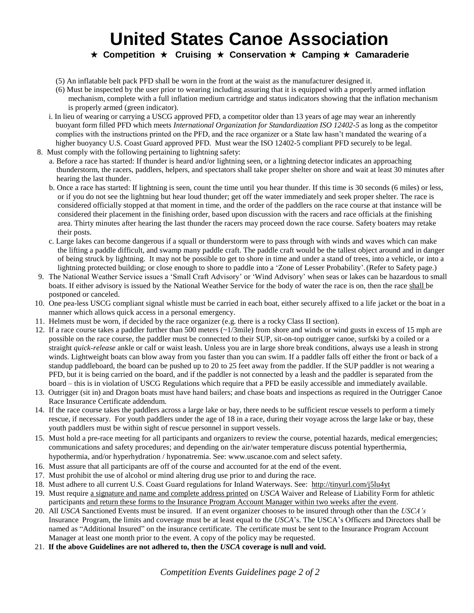**★ Competition ★ Cruising ★ Conservation ★ Camping ★ Camaraderie** 

- (5) An inflatable belt pack PFD shall be worn in the front at the waist as the manufacturer designed it.
- (6) Must be inspected by the user prior to wearing including assuring that it is equipped with a properly armed inflation mechanism, complete with a full inflation medium cartridge and status indicators showing that the inflation mechanism is properly armed (green indicator).
- i. In lieu of wearing or carrying a USCG approved PFD, a competitor older than 13 years of age may wear an inherently buoyant form filled PFD which meets *International Organization for Standardization ISO 12402-5* as long as the competitor complies with the instructions printed on the PFD, and the race organizer or a State law hasn't mandated the wearing of a higher buoyancy U.S. Coast Guard approved PFD. Must wear the ISO 12402-5 compliant PFD securely to be legal.
- 8. Must comply with the following pertaining to lightning safety:
	- a. Before a race has started: If thunder is heard and/or lightning seen, or a lightning detector indicates an approaching thunderstorm, the racers, paddlers, helpers, and spectators shall take proper shelter on shore and wait at least 30 minutes after hearing the last thunder.
	- b. Once a race has started: If lightning is seen, count the time until you hear thunder. If this time is 30 seconds (6 miles) or less, or if you do not see the lightning but hear loud thunder; get off the water immediately and seek proper shelter. The race is considered officially stopped at that moment in time, and the order of the paddlers on the race course at that instance will be considered their placement in the finishing order, based upon discussion with the racers and race officials at the finishing area. Thirty minutes after hearing the last thunder the racers may proceed down the race course. Safety boaters may retake their posts.
	- c. Large lakes can become dangerous if a squall or thunderstorm were to pass through with winds and waves which can make the lifting a paddle difficult, and swamp many paddle craft. The paddle craft would be the tallest object around and in danger of being struck by lightning. It may not be possible to get to shore in time and under a stand of trees, into a vehicle, or into a lightning protected building; or close enough to shore to paddle into a 'Zone of Lesser Probability'.(Refer to Safety page.)
- 9. The National Weather Service issues a 'Small Craft Advisory' or 'Wind Advisory' when seas or lakes can be hazardous to small boats. If either advisory is issued by the National Weather Service for the body of water the race is on, then the race shall be postponed or canceled.
- 10. One pea-less USCG compliant signal whistle must be carried in each boat, either securely affixed to a life jacket or the boat in a manner which allows quick access in a personal emergency.
- 11. Helmets must be worn, if decided by the race organizer (e.g. there is a rocky Class II section).
- 12. If a race course takes a paddler further than 500 meters (~1/3mile) from shore and winds or wind gusts in excess of 15 mph are possible on the race course, the paddler must be connected to their SUP, sit-on-top outrigger canoe, surfski by a coiled or a straight *quick-release* ankle or calf or waist leash. Unless you are in large shore break conditions, always use a leash in strong winds. Lightweight boats can blow away from you faster than you can swim. If a paddler falls off either the front or back of a standup paddleboard, the board can be pushed up to 20 to 25 feet away from the paddler. If the SUP paddler is not wearing a PFD, but it is being carried on the board, and if the paddler is not connected by a leash and the paddler is separated from the board – this is in violation of USCG Regulations which require that a PFD be easily accessible and immediately available.
- 13. Outrigger (sit in) and Dragon boats must have hand bailers; and chase boats and inspections as required in the Outrigger Canoe Race Insurance Certificate addendum.
- 14. If the race course takes the paddlers across a large lake or bay, there needs to be sufficient rescue vessels to perform a timely rescue, if necessary. For youth paddlers under the age of 18 in a race, during their voyage across the large lake or bay, these youth paddlers must be within sight of rescue personnel in support vessels.
- 15. Must hold a pre-race meeting for all participants and organizers to review the course, potential hazards, medical emergencies; communications and safety procedures; and depending on the air/water temperature discuss potential hyperthermia, hypothermia, and/or hyperhydration / hyponatremia. See: www.uscanoe.com and select safety.
- 16. Must assure that all participants are off of the course and accounted for at the end of the event.
- 17. Must prohibit the use of alcohol or mind altering drug use prior to and during the race.
- 18. Must adhere to all current U.S. Coast Guard regulations for Inland Waterways. See:<http://tinyurl.com/j5lu4yt>
- 19. Must require a signature and name and complete address printed on *USCA* Waiver and Release of Liability Form for athletic participants and return these forms to the Insurance Program Account Manager within two weeks after the event.
- 20. All *USCA* Sanctioned Events must be insured. If an event organizer chooses to be insured through other than the *USCA's*  Insurance Program, the limits and coverage must be at least equal to the *USCA*'s. The USCA's Officers and Directors shall be named as "Additional Insured" on the insurance certificate. The certificate must be sent to the Insurance Program Account Manager at least one month prior to the event. A copy of the policy may be requested.
- 21. **If the above Guidelines are not adhered to, then the** *USCA* **coverage is null and void.**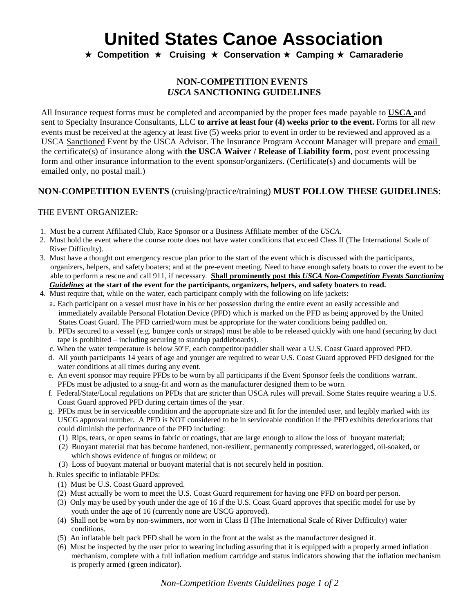**★ Competition ★ Cruising ★ Conservation ★ Camping ★ Camaraderie** 

## **NON-COMPETITION EVENTS**  *USCA* **SANCTIONING GUIDELINES**

All Insurance request forms must be completed and accompanied by the proper fees made payable to **USCA** and sent to Specialty Insurance Consultants, LLC **to arrive at least four (4) weeks prior to the event.** Forms for all *new* events must be received at the agency at least five (5) weeks prior to event in order to be reviewed and approved as a USCA Sanctioned Event by the USCA Advisor. The Insurance Program Account Manager will prepare and email the certificate(s) of insurance along with **the USCA Waiver / Release of Liability form**, post event processing form and other insurance information to the event sponsor/organizers. (Certificate(s) and documents will be emailed only, no postal mail.)

## **NON-COMPETITION EVENTS** (cruising/practice/training) **MUST FOLLOW THESE GUIDELINES**:

### THE EVENT ORGANIZER:

- 1. Must be a current Affiliated Club, Race Sponsor or a Business Affiliate member of the *USCA*.
- 2. Must hold the event where the course route does not have water conditions that exceed Class II (The International Scale of River Difficulty).
- 3. Must have a thought out emergency rescue plan prior to the start of the event which is discussed with the participants, organizers, helpers, and safety boaters; and at the pre-event meeting. Need to have enough safety boats to cover the event to be able to perform a rescue and call 911, if necessary. **Shall prominently post this** *USCA Non-Competition Events Sanctioning Guidelines* **at the start of the event for the participants, organizers, helpers, and safety boaters to read.**
- 4. Must require that, while on the water, each participant comply with the following on life jackets:
	- a. Each participant on a vessel must have in his or her possession during the entire event an easily accessible and immediately available Personal Flotation Device (PFD) which is marked on the PFD as being approved by the United States Coast Guard. The PFD carried/worn must be appropriate for the water conditions being paddled on.
	- b. PFDs secured to a vessel (e.g. bungee cords or straps) must be able to be released quickly with one hand (securing by duct tape is prohibited – including securing to standup paddleboards).
	- c. When the water temperature is below 50ºF, each competitor/paddler shall wear a U.S. Coast Guard approved PFD.
	- d. All youth participants 14 years of age and younger are required to wear U.S. Coast Guard approved PFD designed for the water conditions at all times during any event.
	- e. An event sponsor may require PFDs to be worn by all participants if the Event Sponsor feels the conditions warrant. PFDs must be adjusted to a snug-fit and worn as the manufacturer designed them to be worn.
	- f. Federal/State/Local regulations on PFDs that are stricter than USCA rules will prevail. Some States require wearing a U.S. Coast Guard approved PFD during certain times of the year.
	- g. PFDs must be in serviceable condition and the appropriate size and fit for the intended user, and legibly marked with its USCG approval number. A PFD is NOT considered to be in serviceable condition if the PFD exhibits deteriorations that could diminish the performance of the PFD including:
		- (1) Rips, tears, or open seams in fabric or coatings, that are large enough to allow the loss of buoyant material;
		- (2) Buoyant material that has become hardened, non-resilient, permanently compressed, waterlogged, oil-soaked, or which shows evidence of fungus or mildew; or
		- (3) Loss of buoyant material or buoyant material that is not securely held in position.
	- h. Rules specific to inflatable PFDs:
		- (1) Must be U.S. Coast Guard approved.
		- (2) Must actually be worn to meet the U.S. Coast Guard requirement for having one PFD on board per person.
		- (3) Only may be used by youth under the age of 16 if the U.S. Coast Guard approves that specific model for use by youth under the age of 16 (currently none are USCG approved).
		- (4) Shall not be worn by non-swimmers, nor worn in Class II (The International Scale of River Difficulty) water conditions.
		- (5) An inflatable belt pack PFD shall be worn in the front at the waist as the manufacturer designed it.
		- (6) Must be inspected by the user prior to wearing including assuring that it is equipped with a properly armed inflation mechanism, complete with a full inflation medium cartridge and status indicators showing that the inflation mechanism is properly armed (green indicator).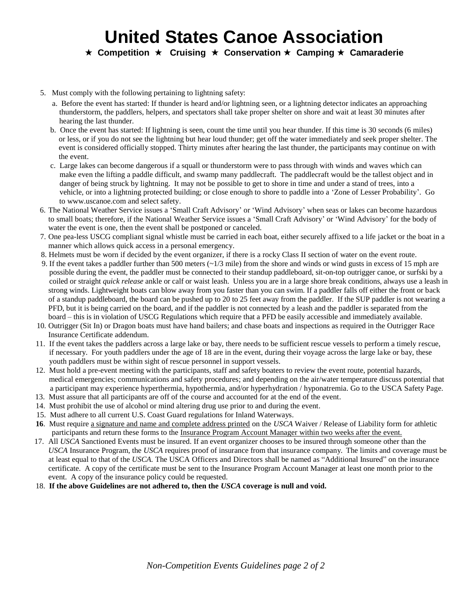**★ Competition ★ Cruising ★ Conservation ★ Camping ★ Camaraderie** 

- 5. Must comply with the following pertaining to lightning safety:
	- a. Before the event has started: If thunder is heard and/or lightning seen, or a lightning detector indicates an approaching thunderstorm, the paddlers, helpers, and spectators shall take proper shelter on shore and wait at least 30 minutes after hearing the last thunder.
	- b. Once the event has started: If lightning is seen, count the time until you hear thunder. If this time is 30 seconds (6 miles) or less, or if you do not see the lightning but hear loud thunder; get off the water immediately and seek proper shelter. The event is considered officially stopped. Thirty minutes after hearing the last thunder, the participants may continue on with the event.
	- c. Large lakes can become dangerous if a squall or thunderstorm were to pass through with winds and waves which can make even the lifting a paddle difficult, and swamp many paddlecraft. The paddlecraft would be the tallest object and in danger of being struck by lightning. It may not be possible to get to shore in time and under a stand of trees, into a vehicle, or into a lightning protected building; or close enough to shore to paddle into a 'Zone of Lesser Probability'. Go to www.uscanoe.com and select safety.
- 6. The National Weather Service issues a 'Small Craft Advisory' or 'Wind Advisory' when seas or lakes can become hazardous to small boats; therefore, if the National Weather Service issues a 'Small Craft Advisory' or 'Wind Advisory' for the body of water the event is one, then the event shall be postponed or canceled.
- 7. One pea-less USCG compliant signal whistle must be carried in each boat, either securely affixed to a life jacket or the boat in a manner which allows quick access in a personal emergency.
- 8. Helmets must be worn if decided by the event organizer, if there is a rocky Class II section of water on the event route.
- 9. If the event takes a paddler further than 500 meters (~1/3 mile) from the shore and winds or wind gusts in excess of 15 mph are possible during the event, the paddler must be connected to their standup paddleboard, sit-on-top outrigger canoe, or surfski by a coiled or straight *quick release* ankle or calf or waist leash. Unless you are in a large shore break conditions, always use a leash in strong winds. Lightweight boats can blow away from you faster than you can swim. If a paddler falls off either the front or back of a standup paddleboard, the board can be pushed up to 20 to 25 feet away from the paddler. If the SUP paddler is not wearing a PFD, but it is being carried on the board, and if the paddler is not connected by a leash and the paddler is separated from the board – this is in violation of USCG Regulations which require that a PFD be easily accessible and immediately available.
- 10. Outrigger (Sit In) or Dragon boats must have hand bailers; and chase boats and inspections as required in the Outrigger Race Insurance Certificate addendum.
- 11. If the event takes the paddlers across a large lake or bay, there needs to be sufficient rescue vessels to perform a timely rescue, if necessary. For youth paddlers under the age of 18 are in the event, during their voyage across the large lake or bay, these youth paddlers must be within sight of rescue personnel in support vessels.
- 12. Must hold a pre-event meeting with the participants, staff and safety boaters to review the event route, potential hazards, medical emergencies; communications and safety procedures; and depending on the air/water temperature discuss potential that a participant may experience hyperthermia, hypothermia, and/or hyperhydration / hyponatremia. Go to the USCA Safety Page.
- 13. Must assure that all participants are off of the course and accounted for at the end of the event.
- 14. Must prohibit the use of alcohol or mind altering drug use prior to and during the event.
- 15. Must adhere to all current U.S. Coast Guard regulations for Inland Waterways.
- **16**. Must require a signature and name and complete address printed on the *USCA* Waiver / Release of Liability form for athletic participants and return these forms to the Insurance Program Account Manager within two weeks after the event.
- 17. All *USCA* Sanctioned Events must be insured. If an event organizer chooses to be insured through someone other than the *USCA* Insurance Program, the *USCA* requires proof of insurance from that insurance company. The limits and coverage must be at least equal to that of the *USCA.* The USCA Officers and Directors shall be named as "Additional Insured" on the insurance certificate. A copy of the certificate must be sent to the Insurance Program Account Manager at least one month prior to the event. A copy of the insurance policy could be requested.
- 18. **If the above Guidelines are not adhered to, then the** *USCA* **coverage is null and void.**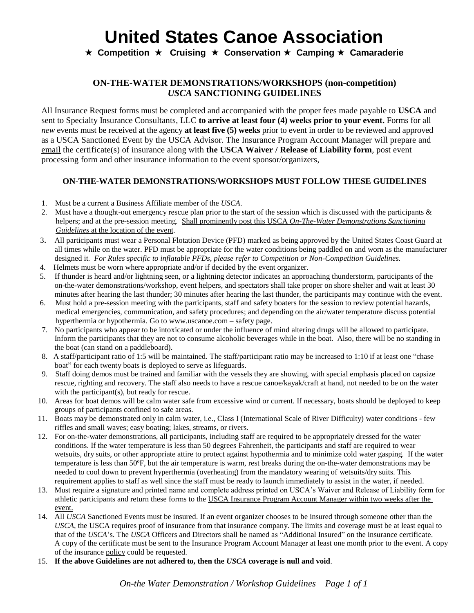**★ Competition ★ Cruising ★ Conservation ★ Camping ★ Camaraderie** 

## **ON-THE-WATER DEMONSTRATIONS/WORKSHOPS (non-competition)** *USCA* **SANCTIONING GUIDELINES**

All Insurance Request forms must be completed and accompanied with the proper fees made payable to **USCA** and sent to Specialty Insurance Consultants, LLC **to arrive at least four (4) weeks prior to your event.** Forms for all *new* events must be received at the agency **at least five (5) weeks** prior to event in order to be reviewed and approved as a USCA Sanctioned Event by the USCA Advisor. The Insurance Program Account Manager will prepare and email the certificate(s) of insurance along with **the USCA Waiver / Release of Liability form**, post event processing form and other insurance information to the event sponsor/organizers,

### **ON-THE-WATER DEMONSTRATIONS/WORKSHOPS MUST FOLLOW THESE GUIDELINES**

- 1. Must be a current a Business Affiliate member of the *USCA*.
- 2. Must have a thought-out emergency rescue plan prior to the start of the session which is discussed with the participants  $\&$ helpers; and at the pre-session meeting. Shall prominently post this USCA *On-The-Water Demonstrations Sanctioning Guidelines* at the location of the event.
- 3. All participants must wear a Personal Flotation Device (PFD) marked as being approved by the United States Coast Guard at all times while on the water. PFD must be appropriate for the water conditions being paddled on and worn as the manufacturer designed it*. For Rules specific to inflatable PFDs, please refer to Competition or Non-Competition Guidelines.*
- 4. Helmets must be worn where appropriate and/or if decided by the event organizer.
- 5. If thunder is heard and/or lightning seen, or a lightning detector indicates an approaching thunderstorm, participants of the on-the-water demonstrations/workshop, event helpers, and spectators shall take proper on shore shelter and wait at least 30 minutes after hearing the last thunder; 30 minutes after hearing the last thunder, the participants may continue with the event.
- 6. Must hold a pre-session meeting with the participants, staff and safety boaters for the session to review potential hazards, medical emergencies, communication, and safety procedures; and depending on the air/water temperature discuss potential hyperthermia or hypothermia. Go to www.uscanoe.com – safety page.
- 7. No participants who appear to be intoxicated or under the influence of mind altering drugs will be allowed to participate. Inform the participants that they are not to consume alcoholic beverages while in the boat. Also, there will be no standing in the boat (can stand on a paddleboard).
- 8. A staff/participant ratio of 1:5 will be maintained. The staff/participant ratio may be increased to 1:10 if at least one "chase boat" for each twenty boats is deployed to serve as lifeguards.
- 9. Staff doing demos must be trained and familiar with the vessels they are showing, with special emphasis placed on capsize rescue, righting and recovery. The staff also needs to have a rescue canoe/kayak/craft at hand, not needed to be on the water with the participant(s), but ready for rescue.
- 10. Areas for boat demos will be calm water safe from excessive wind or current. If necessary, boats should be deployed to keep groups of participants confined to safe areas.
- 11. Boats may be demonstrated only in calm water, i.e., Class I (International Scale of River Difficulty) water conditions few riffles and small waves; easy boating; lakes, streams, or rivers.
- 12. For on-the-water demonstrations, all participants, including staff are required to be appropriately dressed for the water conditions. If the water temperature is less than 50 degrees Fahrenheit, the participants and staff are required to wear wetsuits, dry suits, or other appropriate attire to protect against hypothermia and to minimize cold water gasping. If the water temperature is less than 50ºF, but the air temperature is warm, rest breaks during the on-the-water demonstrations may be needed to cool down to prevent hyperthermia (overheating) from the mandatory wearing of wetsuits/dry suits. This requirement applies to staff as well since the staff must be ready to launch immediately to assist in the water, if needed.
- 13. Must require a signature and printed name and complete address printed on USCA's Waiver and Release of Liability form for athletic participants and return these forms to the USCA Insurance Program Account Manager within two weeks after the event.
- 14. All *USCA* Sanctioned Events must be insured. If an event organizer chooses to be insured through someone other than the *USCA*, the USCA requires proof of insurance from that insurance company. The limits and coverage must be at least equal to that of the *USCA*'s. The *USCA* Officers and Directors shall be named as "Additional Insured" on the insurance certificate. A copy of the certificate must be sent to the Insurance Program Account Manager at least one month prior to the event. A copy of the insurance policy could be requested.
- 15. **If the above Guidelines are not adhered to, then the** *USCA* **coverage is null and void**.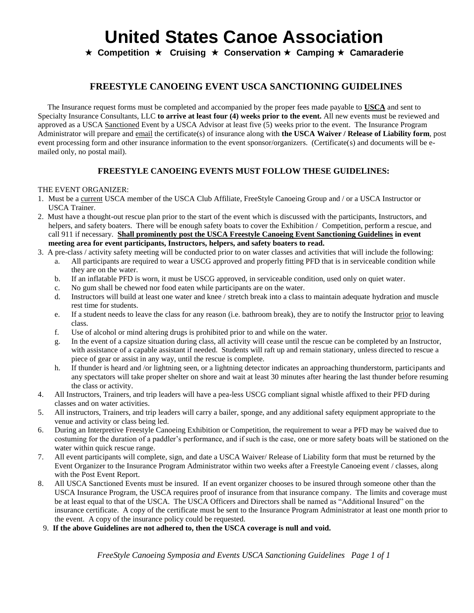**★ Competition ★ Cruising ★ Conservation ★ Camping ★ Camaraderie** 

## **FREESTYLE CANOEING EVENT USCA SANCTIONING GUIDELINES**

 The Insurance request forms must be completed and accompanied by the proper fees made payable to **USCA** and sent to Specialty Insurance Consultants, LLC **to arrive at least four (4) weeks prior to the event.** All new events must be reviewed and approved as a USCA Sanctioned Event by a USCA Advisor at least five (5) weeks prior to the event. The Insurance Program Administrator will prepare and email the certificate(s) of insurance along with **the USCA Waiver / Release of Liability form**, post event processing form and other insurance information to the event sponsor/organizers. (Certificate(s) and documents will be emailed only, no postal mail).

### **FREESTYLE CANOEING EVENTS MUST FOLLOW THESE GUIDELINES:**

#### THE EVENT ORGANIZER:

- 1. Must be a current USCA member of the USCA Club Affiliate, FreeStyle Canoeing Group and / or a USCA Instructor or USCA Trainer.
- 2. Must have a thought-out rescue plan prior to the start of the event which is discussed with the participants, Instructors, and helpers, and safety boaters. There will be enough safety boats to cover the Exhibition / Competition, perform a rescue, and call 911 if necessary. **Shall prominently post the USCA Freestyle Canoeing Event Sanctioning Guidelines in event meeting area for event participants, Instructors, helpers, and safety boaters to read.**
- 3. A pre-class / activity safety meeting will be conducted prior to on water classes and activities that will include the following: a. All participants are required to wear a USCG approved and properly fitting PFD that is in serviceable condition while they are on the water.
	- b. If an inflatable PFD is worn, it must be USCG approved, in serviceable condition, used only on quiet water.
	- c. No gum shall be chewed nor food eaten while participants are on the water.
	- d. Instructors will build at least one water and knee / stretch break into a class to maintain adequate hydration and muscle rest time for students.
	- e. If a student needs to leave the class for any reason (i.e. bathroom break), they are to notify the Instructor prior to leaving class.
	- f. Use of alcohol or mind altering drugs is prohibited prior to and while on the water.
	- g. In the event of a capsize situation during class, all activity will cease until the rescue can be completed by an Instructor, with assistance of a capable assistant if needed. Students will raft up and remain stationary, unless directed to rescue a piece of gear or assist in any way, until the rescue is complete.
	- h. If thunder is heard and /or lightning seen, or a lightning detector indicates an approaching thunderstorm, participants and any spectators will take proper shelter on shore and wait at least 30 minutes after hearing the last thunder before resuming the class or activity.
- 4. All Instructors, Trainers, and trip leaders will have a pea-less USCG compliant signal whistle affixed to their PFD during classes and on water activities.
- 5. All instructors, Trainers, and trip leaders will carry a bailer, sponge, and any additional safety equipment appropriate to the venue and activity or class being led.
- 6. During an Interpretive Freestyle Canoeing Exhibition or Competition, the requirement to wear a PFD may be waived due to costuming for the duration of a paddler's performance, and if such is the case, one or more safety boats will be stationed on the water within quick rescue range.
- 7. All event participants will complete, sign, and date a USCA Waiver/ Release of Liability form that must be returned by the Event Organizer to the Insurance Program Administrator within two weeks after a Freestyle Canoeing event / classes, along with the Post Event Report.
- 8. All USCA Sanctioned Events must be insured. If an event organizer chooses to be insured through someone other than the USCA Insurance Program, the USCA requires proof of insurance from that insurance company. The limits and coverage must be at least equal to that of the USCA. The USCA Officers and Directors shall be named as "Additional Insured" on the insurance certificate. A copy of the certificate must be sent to the Insurance Program Administrator at least one month prior to the event. A copy of the insurance policy could be requested.
- 9. **If the above Guidelines are not adhered to, then the USCA coverage is null and void.**

*FreeStyle Canoeing Symposia and Events USCA Sanctioning Guidelines Page 1 of 1*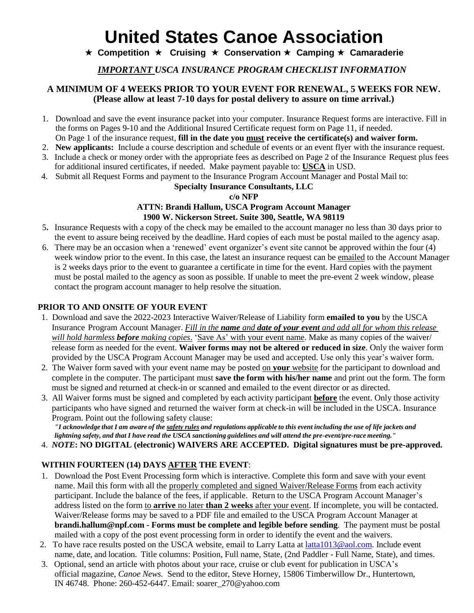## **★ Competition ★ Cruising ★ Conservation ★ Camping ★ Camaraderie**

*IMPORTANT USCA INSURANCE PROGRAM CHECKLIST INFORMATION*

### **A MINIMUM OF 4 WEEKS PRIOR TO YOUR EVENT FOR RENEWAL, 5 WEEKS FOR NEW. (Please allow at least 7-10 days for postal delivery to assure on time arrival.)**

- **.** 1. Download and save the event insurance packet into your computer. Insurance Request forms are interactive. Fill in the forms on Pages 9-10 and the Additional Insured Certificate request form on Page 11, if needed.
- On Page 1 of the insurance request, **fill in the date you must receive the certificate(s) and waiver form.**
- 2. **New applicants:** Include a course description and schedule of events or an event flyer with the insurance request.
- 3. Include a check or money order with the appropriate fees as described on Page 2 of the Insurance Request plus fees for additional insured certificates, if needed. Make payment payable to: **USCA** in USD.
- 4. Submit all Request Forms and payment to the Insurance Program Account Manager and Postal Mail to:

### **Specialty Insurance Consultants, LLC**

### **c/o NFP**

#### **ATTN: Brandi Hallum, USCA Program Account Manager 1900 W. Nickerson Street. Suite 300, Seattle, WA 98119**

- 5**.** Insurance Requests with a copy of the check may be emailed to the account manager no less than 30 days prior to the event to assure being received by the deadline. Hard copies of each must be postal mailed to the agency asap.
- 6. There may be an occasion when a 'renewed' event organizer's event site cannot be approved within the four (4) week window prior to the event. In this case, the latest an insurance request can be emailed to the Account Manager is 2 weeks days prior to the event to guarantee a certificate in time for the event. Hard copies with the payment must be postal mailed to the agency as soon as possible. If unable to meet the pre-event 2 week window, please contact the program account manager to help resolve the situation.

### **PRIOR TO AND ONSITE OF YOUR EVENT**

- 1. Download and save the 2022-2023 Interactive Waiver/Release of Liability form **emailed to you** by the USCA Insurance Program Account Manager. *Fill in the name and date of your event and add all for whom this release will hold harmless before making copies*. 'Save As' with your event name. Make as many copies of the waiver/ release form as needed for the event. **Waiver forms may not be altered or reduced in size**. Only the waiver form provided by the USCA Program Account Manager may be used and accepted. Use only this year's waiver form.
- 2. The Waiver form saved with your event name may be posted on **your** website for the participant to download and complete in the computer. The participant must **save the form with his/her name** and print out the form. The form must be signed and returned at check-in or scanned and emailed to the event director or as directed.
- 3. All Waiver forms must be signed and completed by each activity participant **before** the event. Only those activity participants who have signed and returned the waiver form at check-in will be included in the USCA. Insurance Program. Point out the following safety clause:

"I acknowledge that I am aware of the safety rules and regulations applicable to this event including the use of life jackets and lightning safety, and that I have read the USCA sanctioning guidelines and will attend the pre-event/pre-race meeting."

4. *NOTE***: NO DIGITAL (electronic) WAIVERS ARE ACCEPTED. Digital signatures must be pre-approved.**

## **WITHIN FOURTEEN (14) DAYS AFTER THE EVENT**:

- 1. Download the Post Event Processing form which is interactive. Complete this form and save with your event name. Mail this form with all the properly completed and signed Waiver/Release Forms from each activity participant. Include the balance of the fees, if applicable. Return to the USCA Program Account Manager's address listed on the form to **arrive** no later **than 2 weeks** after your event. If incomplete, you will be contacted. Waiver/Release forms may be saved to a PDF file and emailed to the USCA Program Account Manager at **brandi.hallum@npf.com - Forms must be complete and legible before sending**. The payment must be postal mailed with a copy of the post event processing form in order to identify the event and the waivers.
- 2. To have race results posted on the USCA website, email to Larry Latta at latta1013@aol.com. Include event name, date, and location. Title columns: Position, Full name, State, (2nd Paddler - Full Name, State), and times.
- 3. Optional, send an article with photos about your race, cruise or club event for publication in USCA's official magazine, *Canoe News.* Send to the editor, Steve Horney, 15806 Timberwillow Dr., Huntertown, IN 46748. Phone: 260-452-6447. Email: soarer\_270@yahoo.com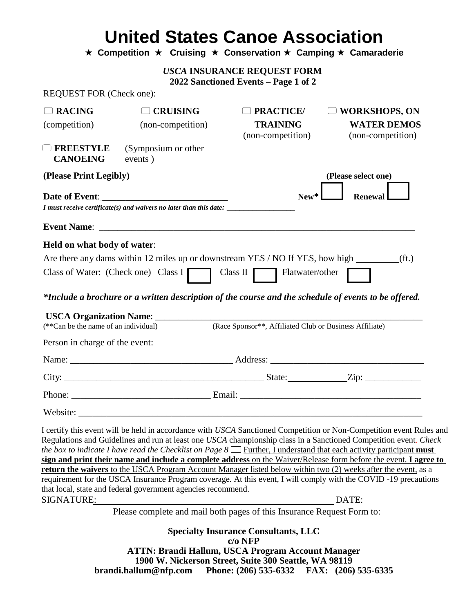**★ Competition ★ Cruising ★ Conservation ★ Camping ★ Camaraderie** 

*USCA* **INSURANCE REQUEST FORM**

**2022 Sanctioned Events – Page 1 of 2**

REQUEST FOR (Check one):

| $\Box$ RACING                        | <b>CRUISING</b>                                                                                                                                                                                                                       | <b>PRACTICE</b> /                                       | <b>WORKSHOPS, ON</b>                                                                                                                                                                                                                                                                                                                                                                                                                                                                                                                                                                                     |  |  |
|--------------------------------------|---------------------------------------------------------------------------------------------------------------------------------------------------------------------------------------------------------------------------------------|---------------------------------------------------------|----------------------------------------------------------------------------------------------------------------------------------------------------------------------------------------------------------------------------------------------------------------------------------------------------------------------------------------------------------------------------------------------------------------------------------------------------------------------------------------------------------------------------------------------------------------------------------------------------------|--|--|
| (competition)                        | (non-competition)                                                                                                                                                                                                                     | <b>TRAINING</b><br>(non-competition)                    | <b>WATER DEMOS</b><br>(non-competition)                                                                                                                                                                                                                                                                                                                                                                                                                                                                                                                                                                  |  |  |
| <b>FREESTYLE</b><br><b>CANOEING</b>  | (Symposium or other<br>events)                                                                                                                                                                                                        |                                                         |                                                                                                                                                                                                                                                                                                                                                                                                                                                                                                                                                                                                          |  |  |
| (Please Print Legibly)               |                                                                                                                                                                                                                                       |                                                         | (Please select one)                                                                                                                                                                                                                                                                                                                                                                                                                                                                                                                                                                                      |  |  |
|                                      |                                                                                                                                                                                                                                       | $New*$<br><b>Renewal</b>                                |                                                                                                                                                                                                                                                                                                                                                                                                                                                                                                                                                                                                          |  |  |
|                                      | I must receive certificate(s) and waivers no later than this date: ______________                                                                                                                                                     |                                                         |                                                                                                                                                                                                                                                                                                                                                                                                                                                                                                                                                                                                          |  |  |
|                                      |                                                                                                                                                                                                                                       |                                                         |                                                                                                                                                                                                                                                                                                                                                                                                                                                                                                                                                                                                          |  |  |
|                                      | Held on what body of water:<br><u>Letting</u> the contract of the contract of the contract of the contract of the contract of the contract of the contract of the contract of the contract of the contract of the contract of the con |                                                         |                                                                                                                                                                                                                                                                                                                                                                                                                                                                                                                                                                                                          |  |  |
|                                      | Are there any dams within 12 miles up or downstream YES / NO If YES, how high _________(ft.)                                                                                                                                          |                                                         |                                                                                                                                                                                                                                                                                                                                                                                                                                                                                                                                                                                                          |  |  |
|                                      | Class of Water: (Check one) Class $I$ Class $II$ Class II Flatwater/other                                                                                                                                                             |                                                         |                                                                                                                                                                                                                                                                                                                                                                                                                                                                                                                                                                                                          |  |  |
|                                      | *Include a brochure or a written description of the course and the schedule of events to be offered.                                                                                                                                  |                                                         |                                                                                                                                                                                                                                                                                                                                                                                                                                                                                                                                                                                                          |  |  |
| (**Can be the name of an individual) |                                                                                                                                                                                                                                       | (Race Sponsor**, Affiliated Club or Business Affiliate) |                                                                                                                                                                                                                                                                                                                                                                                                                                                                                                                                                                                                          |  |  |
| Person in charge of the event:       |                                                                                                                                                                                                                                       |                                                         |                                                                                                                                                                                                                                                                                                                                                                                                                                                                                                                                                                                                          |  |  |
|                                      |                                                                                                                                                                                                                                       |                                                         |                                                                                                                                                                                                                                                                                                                                                                                                                                                                                                                                                                                                          |  |  |
|                                      |                                                                                                                                                                                                                                       |                                                         |                                                                                                                                                                                                                                                                                                                                                                                                                                                                                                                                                                                                          |  |  |
|                                      |                                                                                                                                                                                                                                       |                                                         |                                                                                                                                                                                                                                                                                                                                                                                                                                                                                                                                                                                                          |  |  |
|                                      |                                                                                                                                                                                                                                       |                                                         |                                                                                                                                                                                                                                                                                                                                                                                                                                                                                                                                                                                                          |  |  |
|                                      |                                                                                                                                                                                                                                       |                                                         | I certify this event will be held in accordance with USCA Sanctioned Competition or Non-Competition event Rules and<br>Regulations and Guidelines and run at least one USCA championship class in a Sanctioned Competition event. Check<br>the box to indicate I have read the Checklist on Page $8\Box$ Further, I understand that each activity participant must<br>sign and print their name and include a complete address on the Waiver/Release form before the event. I agree to<br>return the waivers to the USCA Program Account Manager listed below within two (2) weeks after the event, as a |  |  |
|                                      |                                                                                                                                                                                                                                       |                                                         | requirement for the USCA Insurance Program coverage. At this event, I will comply with the COVID -19 precautions                                                                                                                                                                                                                                                                                                                                                                                                                                                                                         |  |  |
|                                      | that local, state and federal government agencies recommend.                                                                                                                                                                          |                                                         |                                                                                                                                                                                                                                                                                                                                                                                                                                                                                                                                                                                                          |  |  |
| <b>SIGNATURE:</b>                    | Please complete and mail both pages of this Insurance Request Form to:                                                                                                                                                                |                                                         | DATE:                                                                                                                                                                                                                                                                                                                                                                                                                                                                                                                                                                                                    |  |  |
|                                      |                                                                                                                                                                                                                                       |                                                         |                                                                                                                                                                                                                                                                                                                                                                                                                                                                                                                                                                                                          |  |  |
|                                      |                                                                                                                                                                                                                                       |                                                         |                                                                                                                                                                                                                                                                                                                                                                                                                                                                                                                                                                                                          |  |  |

**ATTN: Brandi Hallum, USCA Program Account Manager 1900 W. Nickerson Street, Suite 300 Seattle, WA 98119 brandi.hallum@nfp.com Phone: (206) 535-6332 FAX: (206) 535-6335**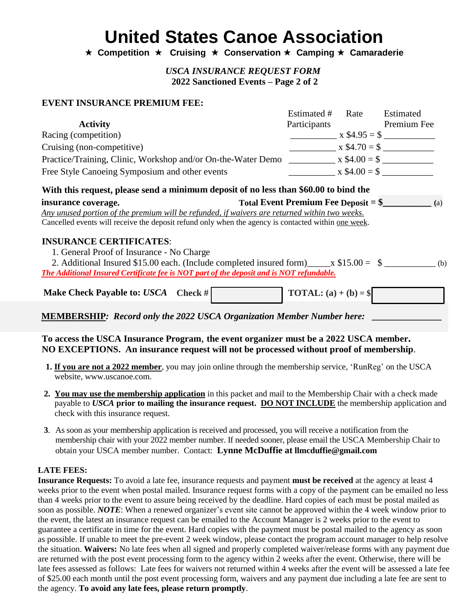**★ Competition ★ Cruising ★ Conservation ★ Camping ★ Camaraderie** 

*USCA INSURANCE REQUEST FORM* **2022 Sanctioned Events – Page 2 of 2**

### **EVENT INSURANCE PREMIUM FEE:**

|                                                                                                                                          | Estimated #                                                       | Rate            | Estimated           |
|------------------------------------------------------------------------------------------------------------------------------------------|-------------------------------------------------------------------|-----------------|---------------------|
| <b>Activity</b>                                                                                                                          | Participants                                                      |                 | Premium Fee         |
| Racing (competition)                                                                                                                     |                                                                   |                 | $x $4.95 = $$       |
| Cruising (non-competitive)                                                                                                               |                                                                   |                 | $x $4.70 = $$       |
| Practice/Training, Clinic, Workshop and/or On-the-Water Demo                                                                             |                                                                   |                 | $x $4.00 = $$       |
| Free Style Canoeing Symposium and other events                                                                                           |                                                                   | $x \$4.00 =$ \$ |                     |
|                                                                                                                                          |                                                                   |                 |                     |
| With this request, please send a minimum deposit of no less than \$60.00 to bind the                                                     |                                                                   |                 |                     |
| insurance coverage.                                                                                                                      | <b>Total Event Premium Fee Deposit = <math>\frac{1}{2}</math></b> |                 |                     |
| Any unused portion of the premium will be refunded, if waivers are returned within two weeks.                                            |                                                                   |                 | $\qquad \qquad$ (a) |
| Cancelled events will receive the deposit refund only when the agency is contacted within <u>one week</u> .                              |                                                                   |                 |                     |
|                                                                                                                                          |                                                                   |                 |                     |
| <b>INSURANCE CERTIFICATES:</b>                                                                                                           |                                                                   |                 |                     |
| 1. General Proof of Insurance - No Charge<br>2. Additional Insured \$15.00 each. (Include completed insured form) $\_\_\ x$ \$15.00 = \$ |                                                                   |                 | (b)                 |

**MEMBERSHIP***: Record only the 2022 USCA Organization Member Number here:* **\_\_\_\_\_\_\_\_\_\_\_\_\_\_\_**

### **To access the USCA Insurance Program**, **the event organizer must be a 2022 USCA member. NO EXCEPTIONS. An insurance request will not be processed without proof of membership**.

- **1. If you are not a 2022 member**, you may join online through the membership service, 'RunReg' on the USCA website, www.uscanoe.com.
- **2. You may use the membership application** in this packet and mail to the Membership Chair with a check made payable to *USCA* **prior to mailing the insurance request. DO NOT INCLUDE** the membership application and check with this insurance request.
- **3**. As soon as your membership application is received and processed, you will receive a notification from the membership chair with your 2022 member number. If needed sooner, please email the USCA Membership Chair to obtain your USCA member number. Contact: **Lynne McDuffie at llmcduffie@gmail.com**

### **LATE FEES:**

**Insurance Requests:** To avoid a late fee, insurance requests and payment **must be received** at the agency at least 4 weeks prior to the event when postal mailed. Insurance request forms with a copy of the payment can be emailed no less than 4 weeks prior to the event to assure being received by the deadline. Hard copies of each must be postal mailed as soon as possible. *NOTE*: When a renewed organizer's event site cannot be approved within the 4 week window prior to the event, the latest an insurance request can be emailed to the Account Manager is 2 weeks prior to the event to guarantee a certificate in time for the event. Hard copies with the payment must be postal mailed to the agency as soon as possible. If unable to meet the pre-event 2 week window, please contact the program account manager to help resolve the situation. **Waivers:** No late fees when all signed and properly completed waiver/release forms with any payment due are returned with the post event processing form to the agency within 2 weeks after the event. Otherwise, there will be late fees assessed as follows: Late fees for waivers not returned within 4 weeks after the event will be assessed a late fee of \$25.00 each month until the post event processing form, waivers and any payment due including a late fee are sent to the agency. **To avoid any late fees, please return promptly**.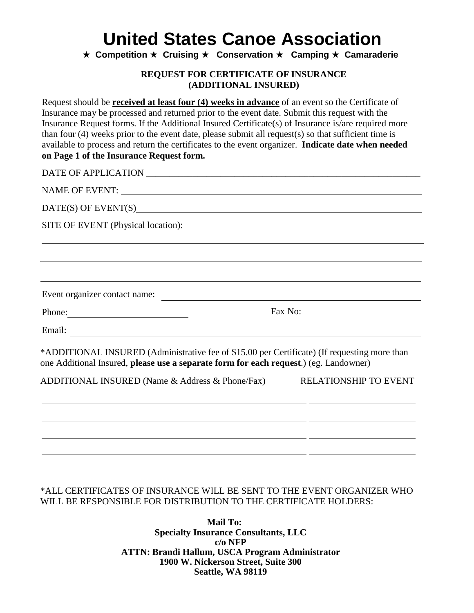**★ Competition ★ Cruising ★ Conservation ★ Camping ★ Camaraderie** 

### **REQUEST FOR CERTIFICATE OF INSURANCE (ADDITIONAL INSURED)**

Request should be **received at least four (4) weeks in advance** of an event so the Certificate of Insurance may be processed and returned prior to the event date. Submit this request with the Insurance Request forms. If the Additional Insured Certificate(s) of Insurance is/are required more than four (4) weeks prior to the event date, please submit all request(s) so that sufficient time is available to process and return the certificates to the event organizer. **Indicate date when needed on Page 1 of the Insurance Request form.**

DATE OF APPLICATION **EXECUTE A** NAME OF EVENT: DATE(S) OF EVENT(S) SITE OF EVENT (Physical location): Event organizer contact name: Fax No: Phone: Email: \*ADDITIONAL INSURED (Administrative fee of \$15.00 per Certificate) (If requesting more than one Additional Insured, **please use a separate form for each request**.) (eg. Landowner) ADDITIONAL INSURED (Name & Address & Phone/Fax) RELATIONSHIP TO EVENT <u> 1999 - Jan Barnett, fransk politiker</u> \*ALL CERTIFICATES OF INSURANCE WILL BE SENT TO THE EVENT ORGANIZER WHO

> **Mail To: Specialty Insurance Consultants, LLC c/o NFP ATTN: Brandi Hallum, USCA Program Administrator 1900 W. Nickerson Street, Suite 300 Seattle, WA 98119**

WILL BE RESPONSIBLE FOR DISTRIBUTION TO THE CERTIFICATE HOLDERS: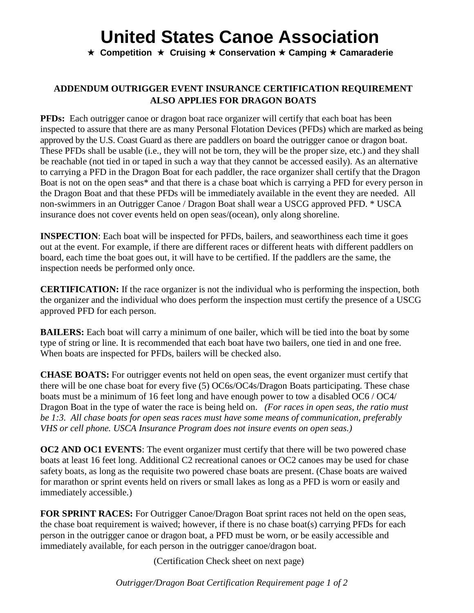**★ Competition ★ Cruising ★ Conservation ★ Camping ★ Camaraderie** 

## **ADDENDUM OUTRIGGER EVENT INSURANCE CERTIFICATION REQUIREMENT ALSO APPLIES FOR DRAGON BOATS**

**PFDs:** Each outrigger canoe or dragon boat race organizer will certify that each boat has been inspected to assure that there are as many Personal Flotation Devices (PFDs) which are marked as being approved by the U.S. Coast Guard as there are paddlers on board the outrigger canoe or dragon boat. These PFDs shall be usable (i.e., they will not be torn, they will be the proper size, etc.) and they shall be reachable (not tied in or taped in such a way that they cannot be accessed easily). As an alternative to carrying a PFD in the Dragon Boat for each paddler, the race organizer shall certify that the Dragon Boat is not on the open seas\* and that there is a chase boat which is carrying a PFD for every person in the Dragon Boat and that these PFDs will be immediately available in the event they are needed. All non-swimmers in an Outrigger Canoe / Dragon Boat shall wear a USCG approved PFD. \* USCA insurance does not cover events held on open seas/(ocean), only along shoreline.

**INSPECTION**: Each boat will be inspected for PFDs, bailers, and seaworthiness each time it goes out at the event. For example, if there are different races or different heats with different paddlers on board, each time the boat goes out, it will have to be certified. If the paddlers are the same, the inspection needs be performed only once.

**CERTIFICATION:** If the race organizer is not the individual who is performing the inspection, both the organizer and the individual who does perform the inspection must certify the presence of a USCG approved PFD for each person.

**BAILERS:** Each boat will carry a minimum of one bailer, which will be tied into the boat by some type of string or line. It is recommended that each boat have two bailers, one tied in and one free. When boats are inspected for PFDs, bailers will be checked also.

**CHASE BOATS:** For outrigger events not held on open seas, the event organizer must certify that there will be one chase boat for every five (5) OC6s/OC4s/Dragon Boats participating. These chase boats must be a minimum of 16 feet long and have enough power to tow a disabled OC6 / OC4/ Dragon Boat in the type of water the race is being held on. *(For races in open seas, the ratio must be 1:3. All chase boats for open seas races must have some means of communication, preferably VHS or cell phone. USCA Insurance Program does not insure events on open seas.)*

**OC2 AND OC1 EVENTS**: The event organizer must certify that there will be two powered chase boats at least 16 feet long. Additional C2 recreational canoes or OC2 canoes may be used for chase safety boats, as long as the requisite two powered chase boats are present. (Chase boats are waived for marathon or sprint events held on rivers or small lakes as long as a PFD is worn or easily and immediately accessible.)

**FOR SPRINT RACES:** For Outrigger Canoe/Dragon Boat sprint races not held on the open seas, the chase boat requirement is waived; however, if there is no chase boat(s) carrying PFDs for each person in the outrigger canoe or dragon boat, a PFD must be worn, or be easily accessible and immediately available, for each person in the outrigger canoe/dragon boat.

(Certification Check sheet on next page)

*Outrigger/Dragon Boat Certification Requirement page 1 of 2*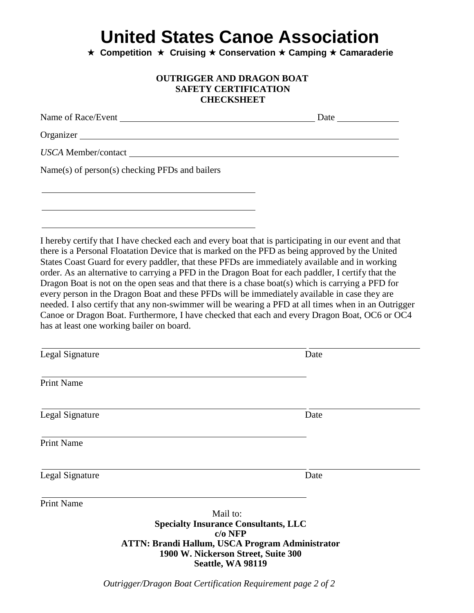**★ Competition ★ Cruising ★ Conservation ★ Camping ★ Camaraderie** 

### **OUTRIGGER AND DRAGON BOAT SAFETY CERTIFICATION CHECKSHEET**

| Organizer                                                                                                                                                                                                                                                                                                                                                                                                                                                                                                                                                                                                                                                                                                                                                                                                                                                                  |      |
|----------------------------------------------------------------------------------------------------------------------------------------------------------------------------------------------------------------------------------------------------------------------------------------------------------------------------------------------------------------------------------------------------------------------------------------------------------------------------------------------------------------------------------------------------------------------------------------------------------------------------------------------------------------------------------------------------------------------------------------------------------------------------------------------------------------------------------------------------------------------------|------|
| USCA Member/contact                                                                                                                                                                                                                                                                                                                                                                                                                                                                                                                                                                                                                                                                                                                                                                                                                                                        |      |
| Name(s) of person(s) checking PFDs and bailers                                                                                                                                                                                                                                                                                                                                                                                                                                                                                                                                                                                                                                                                                                                                                                                                                             |      |
|                                                                                                                                                                                                                                                                                                                                                                                                                                                                                                                                                                                                                                                                                                                                                                                                                                                                            |      |
|                                                                                                                                                                                                                                                                                                                                                                                                                                                                                                                                                                                                                                                                                                                                                                                                                                                                            |      |
| I hereby certify that I have checked each and every boat that is participating in our event and that<br>there is a Personal Floatation Device that is marked on the PFD as being approved by the United<br>States Coast Guard for every paddler, that these PFDs are immediately available and in working<br>order. As an alternative to carrying a PFD in the Dragon Boat for each paddler, I certify that the<br>Dragon Boat is not on the open seas and that there is a chase boat(s) which is carrying a PFD for<br>every person in the Dragon Boat and these PFDs will be immediately available in case they are<br>needed. I also certify that any non-swimmer will be wearing a PFD at all times when in an Outrigger<br>Canoe or Dragon Boat. Furthermore, I have checked that each and every Dragon Boat, OC6 or OC4<br>has at least one working bailer on board. |      |
| Legal Signature                                                                                                                                                                                                                                                                                                                                                                                                                                                                                                                                                                                                                                                                                                                                                                                                                                                            | Date |
| <b>Print Name</b>                                                                                                                                                                                                                                                                                                                                                                                                                                                                                                                                                                                                                                                                                                                                                                                                                                                          |      |
| Legal Signature                                                                                                                                                                                                                                                                                                                                                                                                                                                                                                                                                                                                                                                                                                                                                                                                                                                            | Date |
| <b>Print Name</b>                                                                                                                                                                                                                                                                                                                                                                                                                                                                                                                                                                                                                                                                                                                                                                                                                                                          |      |
| Legal Signature                                                                                                                                                                                                                                                                                                                                                                                                                                                                                                                                                                                                                                                                                                                                                                                                                                                            | Date |

Print Name

 Mail to: **Specialty Insurance Consultants, LLC c/o NFP ATTN: Brandi Hallum, USCA Program Administrator 1900 W. Nickerson Street, Suite 300 Seattle, WA 98119**

*Outrigger/Dragon Boat Certification Requirement page 2 of 2*